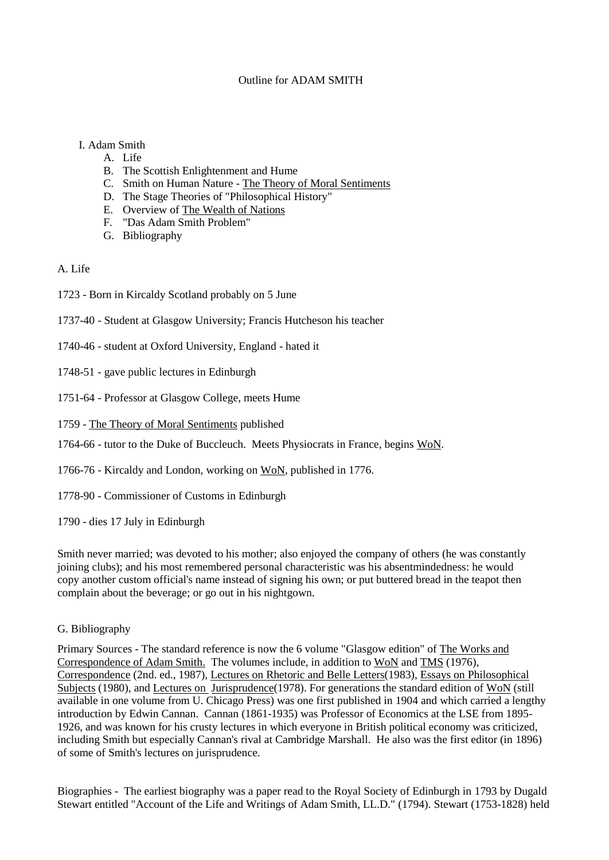## Outline for ADAM SMITH

## I. Adam Smith

- A. Life
- B. The Scottish Enlightenment and Hume
- C. Smith on Human Nature The Theory of Moral Sentiments
- D. The Stage Theories of "Philosophical History"
- E. Overview of The Wealth of Nations
- F. "Das Adam Smith Problem"
- G. Bibliography

A. Life

- 1723 Born in Kircaldy Scotland probably on 5 June
- 1737-40 Student at Glasgow University; Francis Hutcheson his teacher
- 1740-46 student at Oxford University, England hated it
- 1748-51 gave public lectures in Edinburgh
- 1751-64 Professor at Glasgow College, meets Hume
- 1759 The Theory of Moral Sentiments published
- 1764-66 tutor to the Duke of Buccleuch. Meets Physiocrats in France, begins WoN.
- 1766-76 Kircaldy and London, working on WoN, published in 1776.
- 1778-90 Commissioner of Customs in Edinburgh

1790 - dies 17 July in Edinburgh

Smith never married; was devoted to his mother; also enjoyed the company of others (he was constantly joining clubs); and his most remembered personal characteristic was his absentmindedness: he would copy another custom official's name instead of signing his own; or put buttered bread in the teapot then complain about the beverage; or go out in his nightgown.

G. Bibliography

Primary Sources - The standard reference is now the 6 volume "Glasgow edition" of The Works and Correspondence of Adam Smith. The volumes include, in addition to WoN and TMS (1976), Correspondence (2nd. ed., 1987), Lectures on Rhetoric and Belle Letters(1983), Essays on Philosophical Subjects (1980), and Lectures on Jurisprudence (1978). For generations the standard edition of WoN (still available in one volume from U. Chicago Press) was one first published in 1904 and which carried a lengthy introduction by Edwin Cannan. Cannan (1861-1935) was Professor of Economics at the LSE from 1895- 1926, and was known for his crusty lectures in which everyone in British political economy was criticized, including Smith but especially Cannan's rival at Cambridge Marshall. He also was the first editor (in 1896) of some of Smith's lectures on jurisprudence.

Biographies - The earliest biography was a paper read to the Royal Society of Edinburgh in 1793 by Dugald Stewart entitled "Account of the Life and Writings of Adam Smith, LL.D." (1794). Stewart (1753-1828) held